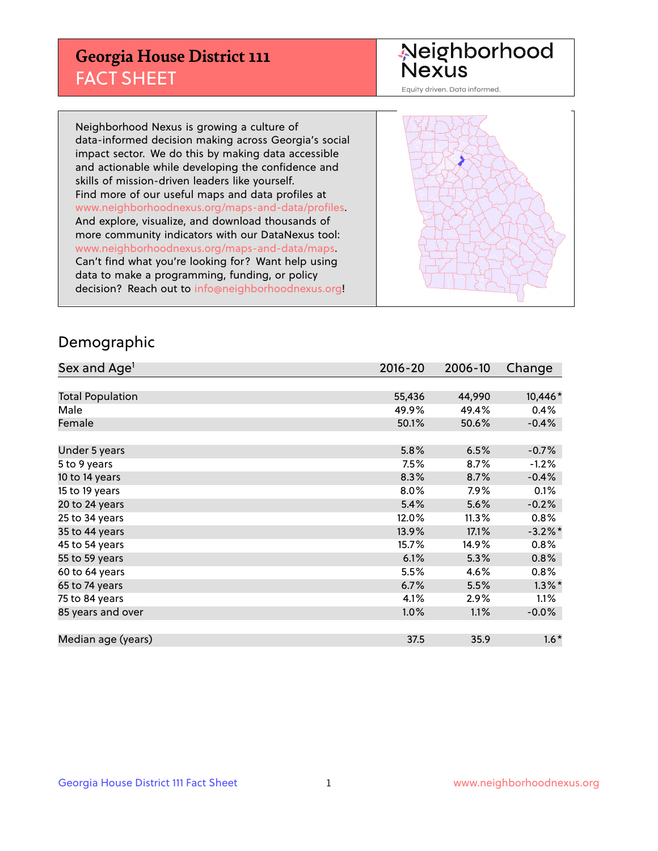## **Georgia House District 111** FACT SHEET

# Neighborhood<br>Nexus

Equity driven. Data informed.

Neighborhood Nexus is growing a culture of data-informed decision making across Georgia's social impact sector. We do this by making data accessible and actionable while developing the confidence and skills of mission-driven leaders like yourself. Find more of our useful maps and data profiles at www.neighborhoodnexus.org/maps-and-data/profiles. And explore, visualize, and download thousands of more community indicators with our DataNexus tool: www.neighborhoodnexus.org/maps-and-data/maps. Can't find what you're looking for? Want help using data to make a programming, funding, or policy decision? Reach out to [info@neighborhoodnexus.org!](mailto:info@neighborhoodnexus.org)



### Demographic

| Sex and Age <sup>1</sup> | $2016 - 20$ | 2006-10  | Change     |
|--------------------------|-------------|----------|------------|
|                          |             |          |            |
| <b>Total Population</b>  | 55,436      | 44,990   | 10,446*    |
| Male                     | 49.9%       | 49.4%    | 0.4%       |
| Female                   | 50.1%       | 50.6%    | $-0.4%$    |
|                          |             |          |            |
| Under 5 years            | 5.8%        | 6.5%     | $-0.7%$    |
| 5 to 9 years             | 7.5%        | 8.7%     | $-1.2%$    |
| 10 to 14 years           | 8.3%        | 8.7%     | $-0.4%$    |
| 15 to 19 years           | 8.0%        | 7.9%     | 0.1%       |
| 20 to 24 years           | 5.4%        | 5.6%     | $-0.2%$    |
| 25 to 34 years           | 12.0%       | $11.3\%$ | 0.8%       |
| 35 to 44 years           | 13.9%       | 17.1%    | $-3.2\%$ * |
| 45 to 54 years           | 15.7%       | 14.9%    | 0.8%       |
| 55 to 59 years           | 6.1%        | 5.3%     | 0.8%       |
| 60 to 64 years           | 5.5%        | 4.6%     | 0.8%       |
| 65 to 74 years           | 6.7%        | 5.5%     | $1.3\%$ *  |
| 75 to 84 years           | 4.1%        | 2.9%     | 1.1%       |
| 85 years and over        | 1.0%        | 1.1%     | $-0.0%$    |
|                          |             |          |            |
| Median age (years)       | 37.5        | 35.9     | $1.6*$     |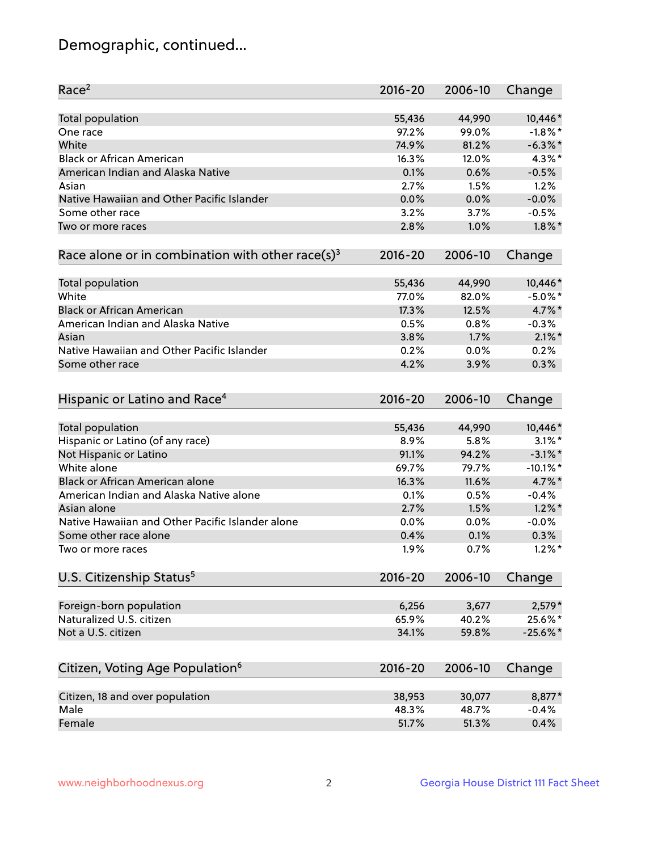## Demographic, continued...

| Race <sup>2</sup>                                            | $2016 - 20$  | 2006-10      | Change      |
|--------------------------------------------------------------|--------------|--------------|-------------|
| <b>Total population</b>                                      | 55,436       | 44,990       | 10,446*     |
| One race                                                     | 97.2%        | 99.0%        | $-1.8\%$ *  |
| White                                                        | 74.9%        | 81.2%        | $-6.3\%$ *  |
| <b>Black or African American</b>                             | 16.3%        | 12.0%        | $4.3\%$ *   |
| American Indian and Alaska Native                            | 0.1%         | 0.6%         | $-0.5%$     |
| Asian                                                        | 2.7%         | 1.5%         | 1.2%        |
| Native Hawaiian and Other Pacific Islander                   | 0.0%         | 0.0%         | $-0.0%$     |
| Some other race                                              | 3.2%         | 3.7%         | $-0.5%$     |
| Two or more races                                            | 2.8%         | 1.0%         | $1.8\%$ *   |
| Race alone or in combination with other race(s) <sup>3</sup> | $2016 - 20$  | 2006-10      | Change      |
|                                                              |              |              |             |
| Total population                                             | 55,436       | 44,990       | 10,446*     |
| White                                                        | 77.0%        | 82.0%        | $-5.0\%$ *  |
| <b>Black or African American</b>                             | 17.3%        | 12.5%        | 4.7%*       |
| American Indian and Alaska Native                            | 0.5%         | 0.8%         | $-0.3%$     |
| Asian                                                        | 3.8%         | 1.7%         | $2.1\%$ *   |
| Native Hawaiian and Other Pacific Islander                   | 0.2%         | 0.0%         | 0.2%        |
| Some other race                                              | 4.2%         | 3.9%         | 0.3%        |
|                                                              |              |              |             |
| Hispanic or Latino and Race <sup>4</sup>                     | $2016 - 20$  | 2006-10      | Change      |
|                                                              | 55,436       | 44,990       | 10,446*     |
| Total population<br>Hispanic or Latino (of any race)         | 8.9%         | 5.8%         | $3.1\%$ *   |
| Not Hispanic or Latino                                       | 91.1%        | 94.2%        | $-3.1\%$ *  |
| White alone                                                  | 69.7%        | 79.7%        | $-10.1\%$ * |
| Black or African American alone                              | 16.3%        | 11.6%        | 4.7%*       |
| American Indian and Alaska Native alone                      |              |              | $-0.4%$     |
| Asian alone                                                  | 0.1%<br>2.7% | 0.5%<br>1.5% | $1.2\%$ *   |
| Native Hawaiian and Other Pacific Islander alone             |              |              |             |
|                                                              | 0.0%         | 0.0%         | $-0.0%$     |
| Some other race alone                                        | 0.4%         | 0.1%         | 0.3%        |
| Two or more races                                            | 1.9%         | 0.7%         | $1.2\%$ *   |
| U.S. Citizenship Status <sup>5</sup>                         | $2016 - 20$  | 2006-10      | Change      |
| Foreign-born population                                      | 6,256        | 3,677        | $2,579*$    |
| Naturalized U.S. citizen                                     | 65.9%        | 40.2%        | 25.6%*      |
| Not a U.S. citizen                                           | 34.1%        | 59.8%        | $-25.6%$    |
|                                                              |              |              |             |
| Citizen, Voting Age Population <sup>6</sup>                  | $2016 - 20$  | 2006-10      | Change      |
| Citizen, 18 and over population                              | 38,953       | 30,077       | 8,877*      |
| Male                                                         | 48.3%        | 48.7%        | $-0.4%$     |
| Female                                                       | 51.7%        | 51.3%        | 0.4%        |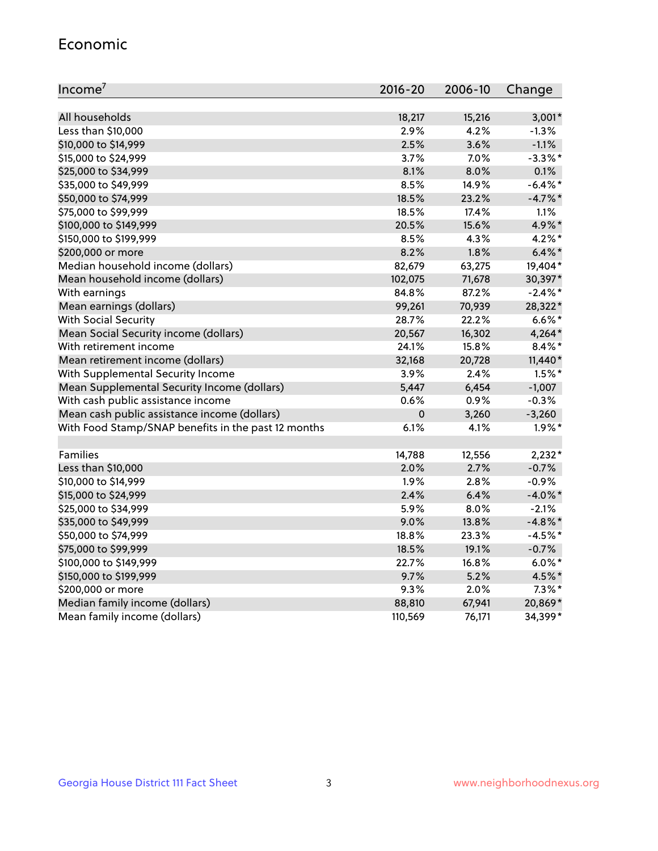#### Economic

| Income <sup>7</sup>                                 | $2016 - 20$ | 2006-10 | Change     |
|-----------------------------------------------------|-------------|---------|------------|
|                                                     |             |         |            |
| All households                                      | 18,217      | 15,216  | $3,001*$   |
| Less than \$10,000                                  | 2.9%        | 4.2%    | $-1.3%$    |
| \$10,000 to \$14,999                                | 2.5%        | 3.6%    | $-1.1%$    |
| \$15,000 to \$24,999                                | 3.7%        | 7.0%    | $-3.3\%$ * |
| \$25,000 to \$34,999                                | 8.1%        | 8.0%    | 0.1%       |
| \$35,000 to \$49,999                                | 8.5%        | 14.9%   | $-6.4\%$ * |
| \$50,000 to \$74,999                                | 18.5%       | 23.2%   | $-4.7\%$ * |
| \$75,000 to \$99,999                                | 18.5%       | 17.4%   | 1.1%       |
| \$100,000 to \$149,999                              | 20.5%       | 15.6%   | 4.9%*      |
| \$150,000 to \$199,999                              | 8.5%        | 4.3%    | $4.2\%$ *  |
| \$200,000 or more                                   | 8.2%        | 1.8%    | $6.4\%$ *  |
| Median household income (dollars)                   | 82,679      | 63,275  | 19,404*    |
| Mean household income (dollars)                     | 102,075     | 71,678  | 30,397*    |
| With earnings                                       | 84.8%       | 87.2%   | $-2.4\%$ * |
| Mean earnings (dollars)                             | 99,261      | 70,939  | 28,322*    |
| <b>With Social Security</b>                         | 28.7%       | 22.2%   | $6.6\%$ *  |
| Mean Social Security income (dollars)               | 20,567      | 16,302  | $4,264*$   |
| With retirement income                              | 24.1%       | 15.8%   | $8.4\%$ *  |
| Mean retirement income (dollars)                    | 32,168      | 20,728  | $11,440*$  |
| With Supplemental Security Income                   | 3.9%        | 2.4%    | $1.5\%$ *  |
| Mean Supplemental Security Income (dollars)         | 5,447       | 6,454   | $-1,007$   |
| With cash public assistance income                  | 0.6%        | 0.9%    | $-0.3%$    |
| Mean cash public assistance income (dollars)        | $\mathbf 0$ | 3,260   | $-3,260$   |
| With Food Stamp/SNAP benefits in the past 12 months | 6.1%        | 4.1%    | $1.9\%$ *  |
|                                                     |             |         |            |
| Families                                            | 14,788      | 12,556  | $2,232*$   |
| Less than \$10,000                                  | 2.0%        | 2.7%    | $-0.7%$    |
| \$10,000 to \$14,999                                | 1.9%        | 2.8%    | $-0.9%$    |
| \$15,000 to \$24,999                                | 2.4%        | 6.4%    | $-4.0\%$ * |
| \$25,000 to \$34,999                                | 5.9%        | 8.0%    | $-2.1%$    |
| \$35,000 to \$49,999                                | 9.0%        | 13.8%   | $-4.8\%$ * |
| \$50,000 to \$74,999                                | 18.8%       | 23.3%   | $-4.5%$ *  |
| \$75,000 to \$99,999                                | 18.5%       | 19.1%   | $-0.7%$    |
| \$100,000 to \$149,999                              | 22.7%       | 16.8%   | $6.0\%$ *  |
| \$150,000 to \$199,999                              | 9.7%        | 5.2%    | 4.5%*      |
| \$200,000 or more                                   | 9.3%        | 2.0%    | $7.3\%$ *  |
| Median family income (dollars)                      | 88,810      | 67,941  | 20,869*    |
| Mean family income (dollars)                        | 110,569     | 76,171  | 34,399*    |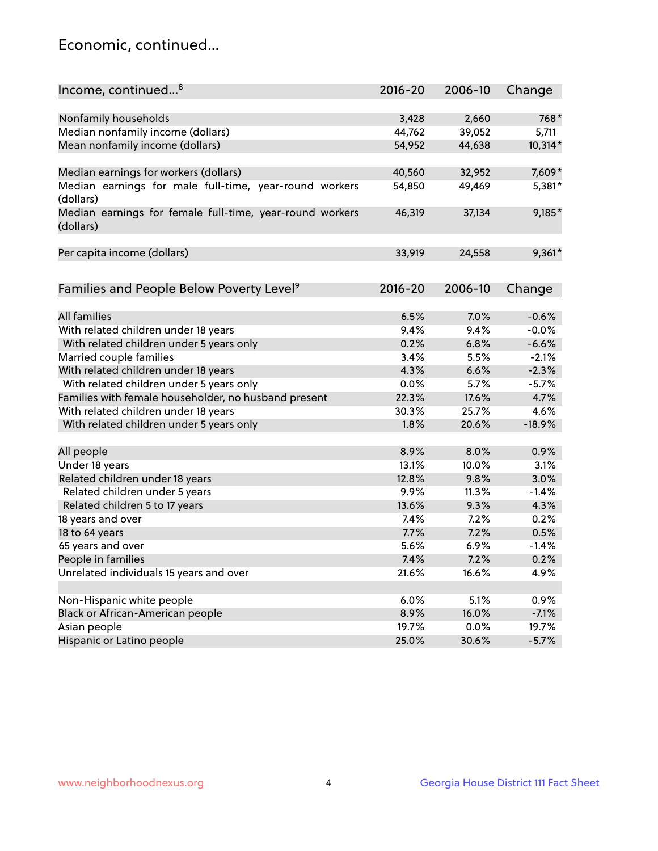## Economic, continued...

| Nonfamily households<br>3,428<br>2,660<br>768*<br>Median nonfamily income (dollars)<br>44,762<br>39,052<br>5,711<br>Mean nonfamily income (dollars)<br>10,314*<br>54,952<br>44,638<br>7,609*<br>Median earnings for workers (dollars)<br>40,560<br>32,952<br>Median earnings for male full-time, year-round workers<br>49,469<br>5,381*<br>54,850<br>(dollars)<br>9,185*<br>Median earnings for female full-time, year-round workers<br>46,319<br>37,134<br>(dollars)<br>$9,361*$<br>Per capita income (dollars)<br>33,919<br>24,558<br>Families and People Below Poverty Level <sup>9</sup><br>$2016 - 20$<br>2006-10<br>Change<br><b>All families</b><br>6.5%<br>7.0%<br>$-0.6%$<br>With related children under 18 years<br>9.4%<br>9.4%<br>$-0.0%$<br>With related children under 5 years only<br>0.2%<br>6.8%<br>$-6.6%$<br>Married couple families<br>$-2.1%$<br>3.4%<br>5.5%<br>With related children under 18 years<br>4.3%<br>$-2.3%$<br>6.6%<br>With related children under 5 years only<br>0.0%<br>5.7%<br>$-5.7%$<br>Families with female householder, no husband present<br>17.6%<br>4.7%<br>22.3%<br>With related children under 18 years<br>30.3%<br>25.7%<br>4.6%<br>$-18.9%$<br>With related children under 5 years only<br>1.8%<br>20.6%<br>All people<br>8.9%<br>8.0%<br>0.9%<br>Under 18 years<br>10.0%<br>3.1%<br>13.1%<br>Related children under 18 years<br>12.8%<br>9.8%<br>3.0%<br>Related children under 5 years<br>9.9%<br>11.3%<br>$-1.4%$<br>Related children 5 to 17 years<br>13.6%<br>9.3%<br>4.3%<br>0.2%<br>18 years and over<br>7.4%<br>7.2%<br>18 to 64 years<br>7.7%<br>0.5%<br>7.2%<br>65 years and over<br>5.6%<br>6.9%<br>$-1.4%$<br>People in families<br>7.4%<br>7.2%<br>0.2%<br>Unrelated individuals 15 years and over<br>21.6%<br>16.6%<br>4.9%<br>Non-Hispanic white people<br>6.0%<br>5.1%<br>0.9%<br>Black or African-American people<br>8.9%<br>$-7.1%$<br>16.0%<br>Asian people<br>19.7%<br>0.0%<br>19.7% | Income, continued <sup>8</sup> | $2016 - 20$ | 2006-10 | Change |
|-----------------------------------------------------------------------------------------------------------------------------------------------------------------------------------------------------------------------------------------------------------------------------------------------------------------------------------------------------------------------------------------------------------------------------------------------------------------------------------------------------------------------------------------------------------------------------------------------------------------------------------------------------------------------------------------------------------------------------------------------------------------------------------------------------------------------------------------------------------------------------------------------------------------------------------------------------------------------------------------------------------------------------------------------------------------------------------------------------------------------------------------------------------------------------------------------------------------------------------------------------------------------------------------------------------------------------------------------------------------------------------------------------------------------------------------------------------------------------------------------------------------------------------------------------------------------------------------------------------------------------------------------------------------------------------------------------------------------------------------------------------------------------------------------------------------------------------------------------------------------------------------------------------------------------------------------------------|--------------------------------|-------------|---------|--------|
|                                                                                                                                                                                                                                                                                                                                                                                                                                                                                                                                                                                                                                                                                                                                                                                                                                                                                                                                                                                                                                                                                                                                                                                                                                                                                                                                                                                                                                                                                                                                                                                                                                                                                                                                                                                                                                                                                                                                                           |                                |             |         |        |
|                                                                                                                                                                                                                                                                                                                                                                                                                                                                                                                                                                                                                                                                                                                                                                                                                                                                                                                                                                                                                                                                                                                                                                                                                                                                                                                                                                                                                                                                                                                                                                                                                                                                                                                                                                                                                                                                                                                                                           |                                |             |         |        |
|                                                                                                                                                                                                                                                                                                                                                                                                                                                                                                                                                                                                                                                                                                                                                                                                                                                                                                                                                                                                                                                                                                                                                                                                                                                                                                                                                                                                                                                                                                                                                                                                                                                                                                                                                                                                                                                                                                                                                           |                                |             |         |        |
|                                                                                                                                                                                                                                                                                                                                                                                                                                                                                                                                                                                                                                                                                                                                                                                                                                                                                                                                                                                                                                                                                                                                                                                                                                                                                                                                                                                                                                                                                                                                                                                                                                                                                                                                                                                                                                                                                                                                                           |                                |             |         |        |
|                                                                                                                                                                                                                                                                                                                                                                                                                                                                                                                                                                                                                                                                                                                                                                                                                                                                                                                                                                                                                                                                                                                                                                                                                                                                                                                                                                                                                                                                                                                                                                                                                                                                                                                                                                                                                                                                                                                                                           |                                |             |         |        |
|                                                                                                                                                                                                                                                                                                                                                                                                                                                                                                                                                                                                                                                                                                                                                                                                                                                                                                                                                                                                                                                                                                                                                                                                                                                                                                                                                                                                                                                                                                                                                                                                                                                                                                                                                                                                                                                                                                                                                           |                                |             |         |        |
|                                                                                                                                                                                                                                                                                                                                                                                                                                                                                                                                                                                                                                                                                                                                                                                                                                                                                                                                                                                                                                                                                                                                                                                                                                                                                                                                                                                                                                                                                                                                                                                                                                                                                                                                                                                                                                                                                                                                                           |                                |             |         |        |
|                                                                                                                                                                                                                                                                                                                                                                                                                                                                                                                                                                                                                                                                                                                                                                                                                                                                                                                                                                                                                                                                                                                                                                                                                                                                                                                                                                                                                                                                                                                                                                                                                                                                                                                                                                                                                                                                                                                                                           |                                |             |         |        |
|                                                                                                                                                                                                                                                                                                                                                                                                                                                                                                                                                                                                                                                                                                                                                                                                                                                                                                                                                                                                                                                                                                                                                                                                                                                                                                                                                                                                                                                                                                                                                                                                                                                                                                                                                                                                                                                                                                                                                           |                                |             |         |        |
|                                                                                                                                                                                                                                                                                                                                                                                                                                                                                                                                                                                                                                                                                                                                                                                                                                                                                                                                                                                                                                                                                                                                                                                                                                                                                                                                                                                                                                                                                                                                                                                                                                                                                                                                                                                                                                                                                                                                                           |                                |             |         |        |
|                                                                                                                                                                                                                                                                                                                                                                                                                                                                                                                                                                                                                                                                                                                                                                                                                                                                                                                                                                                                                                                                                                                                                                                                                                                                                                                                                                                                                                                                                                                                                                                                                                                                                                                                                                                                                                                                                                                                                           |                                |             |         |        |
|                                                                                                                                                                                                                                                                                                                                                                                                                                                                                                                                                                                                                                                                                                                                                                                                                                                                                                                                                                                                                                                                                                                                                                                                                                                                                                                                                                                                                                                                                                                                                                                                                                                                                                                                                                                                                                                                                                                                                           |                                |             |         |        |
|                                                                                                                                                                                                                                                                                                                                                                                                                                                                                                                                                                                                                                                                                                                                                                                                                                                                                                                                                                                                                                                                                                                                                                                                                                                                                                                                                                                                                                                                                                                                                                                                                                                                                                                                                                                                                                                                                                                                                           |                                |             |         |        |
|                                                                                                                                                                                                                                                                                                                                                                                                                                                                                                                                                                                                                                                                                                                                                                                                                                                                                                                                                                                                                                                                                                                                                                                                                                                                                                                                                                                                                                                                                                                                                                                                                                                                                                                                                                                                                                                                                                                                                           |                                |             |         |        |
|                                                                                                                                                                                                                                                                                                                                                                                                                                                                                                                                                                                                                                                                                                                                                                                                                                                                                                                                                                                                                                                                                                                                                                                                                                                                                                                                                                                                                                                                                                                                                                                                                                                                                                                                                                                                                                                                                                                                                           |                                |             |         |        |
|                                                                                                                                                                                                                                                                                                                                                                                                                                                                                                                                                                                                                                                                                                                                                                                                                                                                                                                                                                                                                                                                                                                                                                                                                                                                                                                                                                                                                                                                                                                                                                                                                                                                                                                                                                                                                                                                                                                                                           |                                |             |         |        |
|                                                                                                                                                                                                                                                                                                                                                                                                                                                                                                                                                                                                                                                                                                                                                                                                                                                                                                                                                                                                                                                                                                                                                                                                                                                                                                                                                                                                                                                                                                                                                                                                                                                                                                                                                                                                                                                                                                                                                           |                                |             |         |        |
|                                                                                                                                                                                                                                                                                                                                                                                                                                                                                                                                                                                                                                                                                                                                                                                                                                                                                                                                                                                                                                                                                                                                                                                                                                                                                                                                                                                                                                                                                                                                                                                                                                                                                                                                                                                                                                                                                                                                                           |                                |             |         |        |
|                                                                                                                                                                                                                                                                                                                                                                                                                                                                                                                                                                                                                                                                                                                                                                                                                                                                                                                                                                                                                                                                                                                                                                                                                                                                                                                                                                                                                                                                                                                                                                                                                                                                                                                                                                                                                                                                                                                                                           |                                |             |         |        |
|                                                                                                                                                                                                                                                                                                                                                                                                                                                                                                                                                                                                                                                                                                                                                                                                                                                                                                                                                                                                                                                                                                                                                                                                                                                                                                                                                                                                                                                                                                                                                                                                                                                                                                                                                                                                                                                                                                                                                           |                                |             |         |        |
|                                                                                                                                                                                                                                                                                                                                                                                                                                                                                                                                                                                                                                                                                                                                                                                                                                                                                                                                                                                                                                                                                                                                                                                                                                                                                                                                                                                                                                                                                                                                                                                                                                                                                                                                                                                                                                                                                                                                                           |                                |             |         |        |
|                                                                                                                                                                                                                                                                                                                                                                                                                                                                                                                                                                                                                                                                                                                                                                                                                                                                                                                                                                                                                                                                                                                                                                                                                                                                                                                                                                                                                                                                                                                                                                                                                                                                                                                                                                                                                                                                                                                                                           |                                |             |         |        |
|                                                                                                                                                                                                                                                                                                                                                                                                                                                                                                                                                                                                                                                                                                                                                                                                                                                                                                                                                                                                                                                                                                                                                                                                                                                                                                                                                                                                                                                                                                                                                                                                                                                                                                                                                                                                                                                                                                                                                           |                                |             |         |        |
|                                                                                                                                                                                                                                                                                                                                                                                                                                                                                                                                                                                                                                                                                                                                                                                                                                                                                                                                                                                                                                                                                                                                                                                                                                                                                                                                                                                                                                                                                                                                                                                                                                                                                                                                                                                                                                                                                                                                                           |                                |             |         |        |
|                                                                                                                                                                                                                                                                                                                                                                                                                                                                                                                                                                                                                                                                                                                                                                                                                                                                                                                                                                                                                                                                                                                                                                                                                                                                                                                                                                                                                                                                                                                                                                                                                                                                                                                                                                                                                                                                                                                                                           |                                |             |         |        |
|                                                                                                                                                                                                                                                                                                                                                                                                                                                                                                                                                                                                                                                                                                                                                                                                                                                                                                                                                                                                                                                                                                                                                                                                                                                                                                                                                                                                                                                                                                                                                                                                                                                                                                                                                                                                                                                                                                                                                           |                                |             |         |        |
|                                                                                                                                                                                                                                                                                                                                                                                                                                                                                                                                                                                                                                                                                                                                                                                                                                                                                                                                                                                                                                                                                                                                                                                                                                                                                                                                                                                                                                                                                                                                                                                                                                                                                                                                                                                                                                                                                                                                                           |                                |             |         |        |
|                                                                                                                                                                                                                                                                                                                                                                                                                                                                                                                                                                                                                                                                                                                                                                                                                                                                                                                                                                                                                                                                                                                                                                                                                                                                                                                                                                                                                                                                                                                                                                                                                                                                                                                                                                                                                                                                                                                                                           |                                |             |         |        |
|                                                                                                                                                                                                                                                                                                                                                                                                                                                                                                                                                                                                                                                                                                                                                                                                                                                                                                                                                                                                                                                                                                                                                                                                                                                                                                                                                                                                                                                                                                                                                                                                                                                                                                                                                                                                                                                                                                                                                           |                                |             |         |        |
|                                                                                                                                                                                                                                                                                                                                                                                                                                                                                                                                                                                                                                                                                                                                                                                                                                                                                                                                                                                                                                                                                                                                                                                                                                                                                                                                                                                                                                                                                                                                                                                                                                                                                                                                                                                                                                                                                                                                                           |                                |             |         |        |
|                                                                                                                                                                                                                                                                                                                                                                                                                                                                                                                                                                                                                                                                                                                                                                                                                                                                                                                                                                                                                                                                                                                                                                                                                                                                                                                                                                                                                                                                                                                                                                                                                                                                                                                                                                                                                                                                                                                                                           |                                |             |         |        |
|                                                                                                                                                                                                                                                                                                                                                                                                                                                                                                                                                                                                                                                                                                                                                                                                                                                                                                                                                                                                                                                                                                                                                                                                                                                                                                                                                                                                                                                                                                                                                                                                                                                                                                                                                                                                                                                                                                                                                           |                                |             |         |        |
|                                                                                                                                                                                                                                                                                                                                                                                                                                                                                                                                                                                                                                                                                                                                                                                                                                                                                                                                                                                                                                                                                                                                                                                                                                                                                                                                                                                                                                                                                                                                                                                                                                                                                                                                                                                                                                                                                                                                                           |                                |             |         |        |
|                                                                                                                                                                                                                                                                                                                                                                                                                                                                                                                                                                                                                                                                                                                                                                                                                                                                                                                                                                                                                                                                                                                                                                                                                                                                                                                                                                                                                                                                                                                                                                                                                                                                                                                                                                                                                                                                                                                                                           |                                |             |         |        |
|                                                                                                                                                                                                                                                                                                                                                                                                                                                                                                                                                                                                                                                                                                                                                                                                                                                                                                                                                                                                                                                                                                                                                                                                                                                                                                                                                                                                                                                                                                                                                                                                                                                                                                                                                                                                                                                                                                                                                           |                                |             |         |        |
|                                                                                                                                                                                                                                                                                                                                                                                                                                                                                                                                                                                                                                                                                                                                                                                                                                                                                                                                                                                                                                                                                                                                                                                                                                                                                                                                                                                                                                                                                                                                                                                                                                                                                                                                                                                                                                                                                                                                                           |                                |             |         |        |
|                                                                                                                                                                                                                                                                                                                                                                                                                                                                                                                                                                                                                                                                                                                                                                                                                                                                                                                                                                                                                                                                                                                                                                                                                                                                                                                                                                                                                                                                                                                                                                                                                                                                                                                                                                                                                                                                                                                                                           |                                |             |         |        |
|                                                                                                                                                                                                                                                                                                                                                                                                                                                                                                                                                                                                                                                                                                                                                                                                                                                                                                                                                                                                                                                                                                                                                                                                                                                                                                                                                                                                                                                                                                                                                                                                                                                                                                                                                                                                                                                                                                                                                           |                                |             |         |        |
|                                                                                                                                                                                                                                                                                                                                                                                                                                                                                                                                                                                                                                                                                                                                                                                                                                                                                                                                                                                                                                                                                                                                                                                                                                                                                                                                                                                                                                                                                                                                                                                                                                                                                                                                                                                                                                                                                                                                                           |                                |             |         |        |
| Hispanic or Latino people<br>25.0%<br>30.6%<br>$-5.7%$                                                                                                                                                                                                                                                                                                                                                                                                                                                                                                                                                                                                                                                                                                                                                                                                                                                                                                                                                                                                                                                                                                                                                                                                                                                                                                                                                                                                                                                                                                                                                                                                                                                                                                                                                                                                                                                                                                    |                                |             |         |        |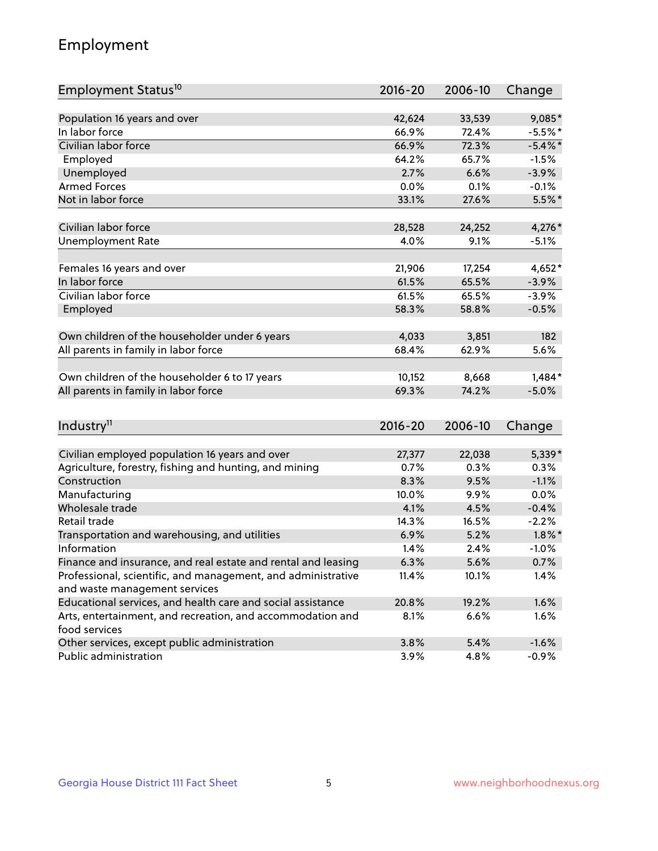## Employment

| Employment Status <sup>10</sup>                                             | $2016 - 20$ | 2006-10 | Change     |
|-----------------------------------------------------------------------------|-------------|---------|------------|
|                                                                             |             |         |            |
| Population 16 years and over                                                | 42,624      | 33,539  | $9,085*$   |
| In labor force                                                              | 66.9%       | 72.4%   | $-5.5%$ *  |
| Civilian labor force                                                        | 66.9%       | 72.3%   | $-5.4\%$ * |
| Employed                                                                    | 64.2%       | 65.7%   | $-1.5%$    |
| Unemployed                                                                  | 2.7%        | 6.6%    | $-3.9%$    |
| <b>Armed Forces</b>                                                         | 0.0%        | 0.1%    | $-0.1%$    |
| Not in labor force                                                          | 33.1%       | 27.6%   | $5.5%$ *   |
| Civilian labor force                                                        | 28,528      | 24,252  | 4,276*     |
| <b>Unemployment Rate</b>                                                    | 4.0%        | 9.1%    | $-5.1%$    |
|                                                                             |             |         |            |
| Females 16 years and over                                                   | 21,906      | 17,254  | $4,652*$   |
| In labor force                                                              | 61.5%       | 65.5%   | $-3.9%$    |
| Civilian labor force                                                        | 61.5%       | 65.5%   | $-3.9%$    |
| Employed                                                                    | 58.3%       | 58.8%   | $-0.5%$    |
| Own children of the householder under 6 years                               | 4,033       | 3,851   | 182        |
| All parents in family in labor force                                        | 68.4%       | 62.9%   | 5.6%       |
|                                                                             |             |         |            |
| Own children of the householder 6 to 17 years                               | 10,152      | 8,668   | $1,484*$   |
| All parents in family in labor force                                        | 69.3%       | 74.2%   | $-5.0%$    |
|                                                                             |             |         |            |
| Industry <sup>11</sup>                                                      | $2016 - 20$ | 2006-10 | Change     |
|                                                                             |             |         |            |
| Civilian employed population 16 years and over                              | 27,377      | 22,038  | 5,339*     |
| Agriculture, forestry, fishing and hunting, and mining                      | 0.7%        | 0.3%    | 0.3%       |
| Construction                                                                | 8.3%        | 9.5%    | $-1.1%$    |
| Manufacturing                                                               | 10.0%       | 9.9%    | 0.0%       |
| Wholesale trade                                                             | 4.1%        | 4.5%    | $-0.4%$    |
| Retail trade                                                                | 14.3%       | 16.5%   | $-2.2%$    |
| Transportation and warehousing, and utilities                               | 6.9%        | 5.2%    | $1.8\%$ *  |
| Information                                                                 | 1.4%        | 2.4%    | $-1.0%$    |
| Finance and insurance, and real estate and rental and leasing               | 6.3%        | 5.6%    | 0.7%       |
| Professional, scientific, and management, and administrative                | 11.4%       | 10.1%   | 1.4%       |
| and waste management services                                               |             |         |            |
| Educational services, and health care and social assistance                 | 20.8%       | 19.2%   | 1.6%       |
| Arts, entertainment, and recreation, and accommodation and<br>food services | 8.1%        | 6.6%    | 1.6%       |
| Other services, except public administration                                | 3.8%        | 5.4%    | $-1.6%$    |
| Public administration                                                       | 3.9%        | 4.8%    | $-0.9%$    |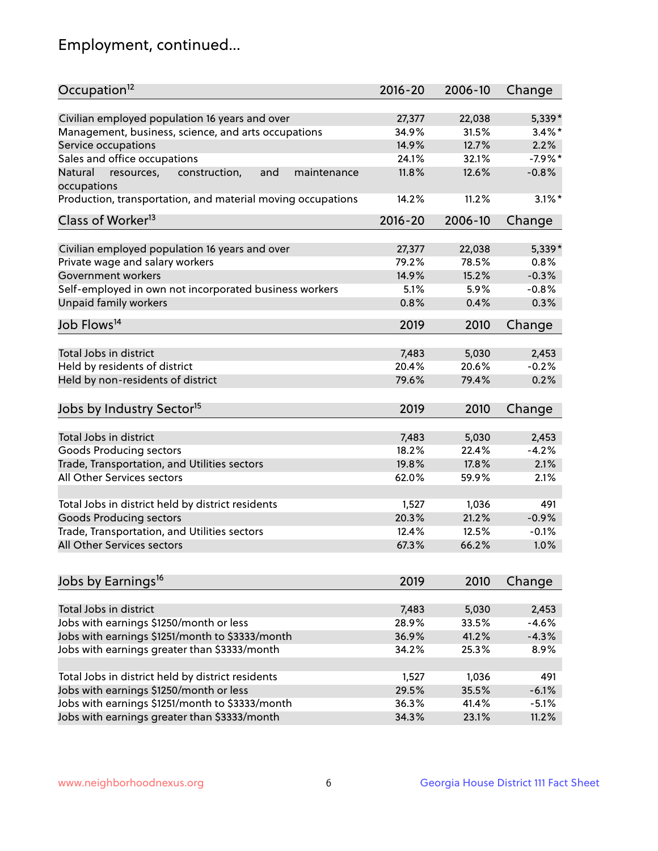## Employment, continued...

| Civilian employed population 16 years and over<br>5,339*<br>27,377<br>22,038<br>Management, business, science, and arts occupations<br>$3.4\%$ *<br>34.9%<br>31.5%<br>2.2%<br>Service occupations<br>14.9%<br>12.7%<br>Sales and office occupations<br>$-7.9%$ *<br>24.1%<br>32.1%<br>$-0.8%$<br>Natural<br>and<br>11.8%<br>12.6%<br>resources,<br>construction,<br>maintenance<br>11.2%<br>$3.1\%$ *<br>Production, transportation, and material moving occupations<br>14.2%<br>Class of Worker <sup>13</sup><br>$2016 - 20$<br>2006-10<br>Change<br>Civilian employed population 16 years and over<br>5,339*<br>27,377<br>22,038<br>Private wage and salary workers<br>79.2%<br>78.5%<br>0.8%<br>15.2%<br>$-0.3%$<br>Government workers<br>14.9%<br>Self-employed in own not incorporated business workers<br>5.1%<br>$-0.8%$<br>5.9%<br>Unpaid family workers<br>0.8%<br>0.4%<br>0.3%<br>2019<br>2010<br>Change<br>Total Jobs in district<br>7,483<br>5,030<br>2,453<br>Held by residents of district<br>$-0.2%$<br>20.4%<br>20.6%<br>Held by non-residents of district<br>0.2%<br>79.6%<br>79.4%<br>2019<br>2010<br>Change<br>Total Jobs in district<br>7,483<br>5,030<br>2,453<br>18.2%<br>Goods Producing sectors<br>22.4%<br>$-4.2%$<br>Trade, Transportation, and Utilities sectors<br>19.8%<br>17.8%<br>2.1%<br>All Other Services sectors<br>62.0%<br>59.9%<br>2.1%<br>Total Jobs in district held by district residents<br>1,527<br>1,036<br>491<br><b>Goods Producing sectors</b><br>20.3%<br>21.2%<br>$-0.9%$<br>Trade, Transportation, and Utilities sectors<br>12.4%<br>12.5%<br>$-0.1%$<br>All Other Services sectors<br>1.0%<br>67.3%<br>66.2%<br>2019<br>2010<br>Change<br>Total Jobs in district<br>7,483<br>5,030<br>2,453<br>Jobs with earnings \$1250/month or less<br>28.9%<br>33.5%<br>$-4.6%$ | Occupation <sup>12</sup>                        | $2016 - 20$ | 2006-10 | Change |
|------------------------------------------------------------------------------------------------------------------------------------------------------------------------------------------------------------------------------------------------------------------------------------------------------------------------------------------------------------------------------------------------------------------------------------------------------------------------------------------------------------------------------------------------------------------------------------------------------------------------------------------------------------------------------------------------------------------------------------------------------------------------------------------------------------------------------------------------------------------------------------------------------------------------------------------------------------------------------------------------------------------------------------------------------------------------------------------------------------------------------------------------------------------------------------------------------------------------------------------------------------------------------------------------------------------------------------------------------------------------------------------------------------------------------------------------------------------------------------------------------------------------------------------------------------------------------------------------------------------------------------------------------------------------------------------------------------------------------------------------------------------------------------------------------------------------|-------------------------------------------------|-------------|---------|--------|
|                                                                                                                                                                                                                                                                                                                                                                                                                                                                                                                                                                                                                                                                                                                                                                                                                                                                                                                                                                                                                                                                                                                                                                                                                                                                                                                                                                                                                                                                                                                                                                                                                                                                                                                                                                                                                        |                                                 |             |         |        |
|                                                                                                                                                                                                                                                                                                                                                                                                                                                                                                                                                                                                                                                                                                                                                                                                                                                                                                                                                                                                                                                                                                                                                                                                                                                                                                                                                                                                                                                                                                                                                                                                                                                                                                                                                                                                                        |                                                 |             |         |        |
|                                                                                                                                                                                                                                                                                                                                                                                                                                                                                                                                                                                                                                                                                                                                                                                                                                                                                                                                                                                                                                                                                                                                                                                                                                                                                                                                                                                                                                                                                                                                                                                                                                                                                                                                                                                                                        |                                                 |             |         |        |
|                                                                                                                                                                                                                                                                                                                                                                                                                                                                                                                                                                                                                                                                                                                                                                                                                                                                                                                                                                                                                                                                                                                                                                                                                                                                                                                                                                                                                                                                                                                                                                                                                                                                                                                                                                                                                        |                                                 |             |         |        |
|                                                                                                                                                                                                                                                                                                                                                                                                                                                                                                                                                                                                                                                                                                                                                                                                                                                                                                                                                                                                                                                                                                                                                                                                                                                                                                                                                                                                                                                                                                                                                                                                                                                                                                                                                                                                                        |                                                 |             |         |        |
|                                                                                                                                                                                                                                                                                                                                                                                                                                                                                                                                                                                                                                                                                                                                                                                                                                                                                                                                                                                                                                                                                                                                                                                                                                                                                                                                                                                                                                                                                                                                                                                                                                                                                                                                                                                                                        | occupations                                     |             |         |        |
|                                                                                                                                                                                                                                                                                                                                                                                                                                                                                                                                                                                                                                                                                                                                                                                                                                                                                                                                                                                                                                                                                                                                                                                                                                                                                                                                                                                                                                                                                                                                                                                                                                                                                                                                                                                                                        |                                                 |             |         |        |
|                                                                                                                                                                                                                                                                                                                                                                                                                                                                                                                                                                                                                                                                                                                                                                                                                                                                                                                                                                                                                                                                                                                                                                                                                                                                                                                                                                                                                                                                                                                                                                                                                                                                                                                                                                                                                        |                                                 |             |         |        |
|                                                                                                                                                                                                                                                                                                                                                                                                                                                                                                                                                                                                                                                                                                                                                                                                                                                                                                                                                                                                                                                                                                                                                                                                                                                                                                                                                                                                                                                                                                                                                                                                                                                                                                                                                                                                                        |                                                 |             |         |        |
|                                                                                                                                                                                                                                                                                                                                                                                                                                                                                                                                                                                                                                                                                                                                                                                                                                                                                                                                                                                                                                                                                                                                                                                                                                                                                                                                                                                                                                                                                                                                                                                                                                                                                                                                                                                                                        |                                                 |             |         |        |
|                                                                                                                                                                                                                                                                                                                                                                                                                                                                                                                                                                                                                                                                                                                                                                                                                                                                                                                                                                                                                                                                                                                                                                                                                                                                                                                                                                                                                                                                                                                                                                                                                                                                                                                                                                                                                        |                                                 |             |         |        |
|                                                                                                                                                                                                                                                                                                                                                                                                                                                                                                                                                                                                                                                                                                                                                                                                                                                                                                                                                                                                                                                                                                                                                                                                                                                                                                                                                                                                                                                                                                                                                                                                                                                                                                                                                                                                                        |                                                 |             |         |        |
|                                                                                                                                                                                                                                                                                                                                                                                                                                                                                                                                                                                                                                                                                                                                                                                                                                                                                                                                                                                                                                                                                                                                                                                                                                                                                                                                                                                                                                                                                                                                                                                                                                                                                                                                                                                                                        |                                                 |             |         |        |
|                                                                                                                                                                                                                                                                                                                                                                                                                                                                                                                                                                                                                                                                                                                                                                                                                                                                                                                                                                                                                                                                                                                                                                                                                                                                                                                                                                                                                                                                                                                                                                                                                                                                                                                                                                                                                        |                                                 |             |         |        |
|                                                                                                                                                                                                                                                                                                                                                                                                                                                                                                                                                                                                                                                                                                                                                                                                                                                                                                                                                                                                                                                                                                                                                                                                                                                                                                                                                                                                                                                                                                                                                                                                                                                                                                                                                                                                                        | Job Flows <sup>14</sup>                         |             |         |        |
|                                                                                                                                                                                                                                                                                                                                                                                                                                                                                                                                                                                                                                                                                                                                                                                                                                                                                                                                                                                                                                                                                                                                                                                                                                                                                                                                                                                                                                                                                                                                                                                                                                                                                                                                                                                                                        |                                                 |             |         |        |
|                                                                                                                                                                                                                                                                                                                                                                                                                                                                                                                                                                                                                                                                                                                                                                                                                                                                                                                                                                                                                                                                                                                                                                                                                                                                                                                                                                                                                                                                                                                                                                                                                                                                                                                                                                                                                        |                                                 |             |         |        |
|                                                                                                                                                                                                                                                                                                                                                                                                                                                                                                                                                                                                                                                                                                                                                                                                                                                                                                                                                                                                                                                                                                                                                                                                                                                                                                                                                                                                                                                                                                                                                                                                                                                                                                                                                                                                                        |                                                 |             |         |        |
|                                                                                                                                                                                                                                                                                                                                                                                                                                                                                                                                                                                                                                                                                                                                                                                                                                                                                                                                                                                                                                                                                                                                                                                                                                                                                                                                                                                                                                                                                                                                                                                                                                                                                                                                                                                                                        |                                                 |             |         |        |
|                                                                                                                                                                                                                                                                                                                                                                                                                                                                                                                                                                                                                                                                                                                                                                                                                                                                                                                                                                                                                                                                                                                                                                                                                                                                                                                                                                                                                                                                                                                                                                                                                                                                                                                                                                                                                        | Jobs by Industry Sector <sup>15</sup>           |             |         |        |
|                                                                                                                                                                                                                                                                                                                                                                                                                                                                                                                                                                                                                                                                                                                                                                                                                                                                                                                                                                                                                                                                                                                                                                                                                                                                                                                                                                                                                                                                                                                                                                                                                                                                                                                                                                                                                        |                                                 |             |         |        |
|                                                                                                                                                                                                                                                                                                                                                                                                                                                                                                                                                                                                                                                                                                                                                                                                                                                                                                                                                                                                                                                                                                                                                                                                                                                                                                                                                                                                                                                                                                                                                                                                                                                                                                                                                                                                                        |                                                 |             |         |        |
|                                                                                                                                                                                                                                                                                                                                                                                                                                                                                                                                                                                                                                                                                                                                                                                                                                                                                                                                                                                                                                                                                                                                                                                                                                                                                                                                                                                                                                                                                                                                                                                                                                                                                                                                                                                                                        |                                                 |             |         |        |
|                                                                                                                                                                                                                                                                                                                                                                                                                                                                                                                                                                                                                                                                                                                                                                                                                                                                                                                                                                                                                                                                                                                                                                                                                                                                                                                                                                                                                                                                                                                                                                                                                                                                                                                                                                                                                        |                                                 |             |         |        |
|                                                                                                                                                                                                                                                                                                                                                                                                                                                                                                                                                                                                                                                                                                                                                                                                                                                                                                                                                                                                                                                                                                                                                                                                                                                                                                                                                                                                                                                                                                                                                                                                                                                                                                                                                                                                                        |                                                 |             |         |        |
|                                                                                                                                                                                                                                                                                                                                                                                                                                                                                                                                                                                                                                                                                                                                                                                                                                                                                                                                                                                                                                                                                                                                                                                                                                                                                                                                                                                                                                                                                                                                                                                                                                                                                                                                                                                                                        |                                                 |             |         |        |
|                                                                                                                                                                                                                                                                                                                                                                                                                                                                                                                                                                                                                                                                                                                                                                                                                                                                                                                                                                                                                                                                                                                                                                                                                                                                                                                                                                                                                                                                                                                                                                                                                                                                                                                                                                                                                        |                                                 |             |         |        |
|                                                                                                                                                                                                                                                                                                                                                                                                                                                                                                                                                                                                                                                                                                                                                                                                                                                                                                                                                                                                                                                                                                                                                                                                                                                                                                                                                                                                                                                                                                                                                                                                                                                                                                                                                                                                                        |                                                 |             |         |        |
|                                                                                                                                                                                                                                                                                                                                                                                                                                                                                                                                                                                                                                                                                                                                                                                                                                                                                                                                                                                                                                                                                                                                                                                                                                                                                                                                                                                                                                                                                                                                                                                                                                                                                                                                                                                                                        |                                                 |             |         |        |
|                                                                                                                                                                                                                                                                                                                                                                                                                                                                                                                                                                                                                                                                                                                                                                                                                                                                                                                                                                                                                                                                                                                                                                                                                                                                                                                                                                                                                                                                                                                                                                                                                                                                                                                                                                                                                        |                                                 |             |         |        |
|                                                                                                                                                                                                                                                                                                                                                                                                                                                                                                                                                                                                                                                                                                                                                                                                                                                                                                                                                                                                                                                                                                                                                                                                                                                                                                                                                                                                                                                                                                                                                                                                                                                                                                                                                                                                                        | Jobs by Earnings <sup>16</sup>                  |             |         |        |
|                                                                                                                                                                                                                                                                                                                                                                                                                                                                                                                                                                                                                                                                                                                                                                                                                                                                                                                                                                                                                                                                                                                                                                                                                                                                                                                                                                                                                                                                                                                                                                                                                                                                                                                                                                                                                        |                                                 |             |         |        |
|                                                                                                                                                                                                                                                                                                                                                                                                                                                                                                                                                                                                                                                                                                                                                                                                                                                                                                                                                                                                                                                                                                                                                                                                                                                                                                                                                                                                                                                                                                                                                                                                                                                                                                                                                                                                                        |                                                 |             |         |        |
|                                                                                                                                                                                                                                                                                                                                                                                                                                                                                                                                                                                                                                                                                                                                                                                                                                                                                                                                                                                                                                                                                                                                                                                                                                                                                                                                                                                                                                                                                                                                                                                                                                                                                                                                                                                                                        |                                                 |             |         |        |
| 41.2%<br>$-4.3%$<br>36.9%                                                                                                                                                                                                                                                                                                                                                                                                                                                                                                                                                                                                                                                                                                                                                                                                                                                                                                                                                                                                                                                                                                                                                                                                                                                                                                                                                                                                                                                                                                                                                                                                                                                                                                                                                                                              | Jobs with earnings \$1251/month to \$3333/month |             |         |        |
| Jobs with earnings greater than \$3333/month<br>8.9%<br>34.2%<br>25.3%                                                                                                                                                                                                                                                                                                                                                                                                                                                                                                                                                                                                                                                                                                                                                                                                                                                                                                                                                                                                                                                                                                                                                                                                                                                                                                                                                                                                                                                                                                                                                                                                                                                                                                                                                 |                                                 |             |         |        |
| Total Jobs in district held by district residents<br>1,527<br>1,036<br>491                                                                                                                                                                                                                                                                                                                                                                                                                                                                                                                                                                                                                                                                                                                                                                                                                                                                                                                                                                                                                                                                                                                                                                                                                                                                                                                                                                                                                                                                                                                                                                                                                                                                                                                                             |                                                 |             |         |        |
| 35.5%<br>$-6.1%$<br>29.5%                                                                                                                                                                                                                                                                                                                                                                                                                                                                                                                                                                                                                                                                                                                                                                                                                                                                                                                                                                                                                                                                                                                                                                                                                                                                                                                                                                                                                                                                                                                                                                                                                                                                                                                                                                                              | Jobs with earnings \$1250/month or less         |             |         |        |
| 36.3%<br>41.4%<br>$-5.1%$                                                                                                                                                                                                                                                                                                                                                                                                                                                                                                                                                                                                                                                                                                                                                                                                                                                                                                                                                                                                                                                                                                                                                                                                                                                                                                                                                                                                                                                                                                                                                                                                                                                                                                                                                                                              | Jobs with earnings \$1251/month to \$3333/month |             |         |        |
| 34.3%<br>23.1%<br>11.2%                                                                                                                                                                                                                                                                                                                                                                                                                                                                                                                                                                                                                                                                                                                                                                                                                                                                                                                                                                                                                                                                                                                                                                                                                                                                                                                                                                                                                                                                                                                                                                                                                                                                                                                                                                                                | Jobs with earnings greater than \$3333/month    |             |         |        |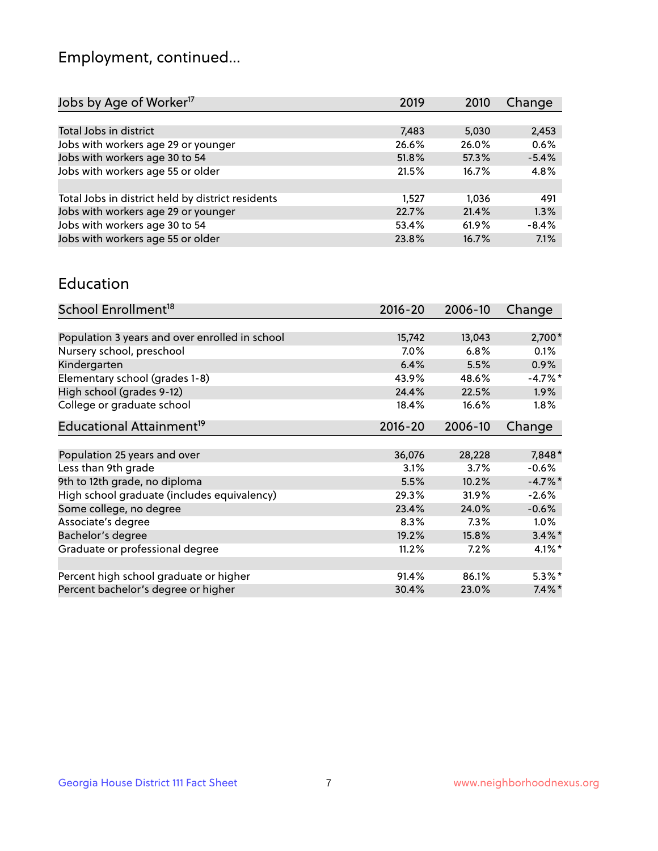## Employment, continued...

| Jobs by Age of Worker <sup>17</sup>               | 2019  | 2010  | Change  |
|---------------------------------------------------|-------|-------|---------|
|                                                   |       |       |         |
| Total Jobs in district                            | 7,483 | 5,030 | 2,453   |
| Jobs with workers age 29 or younger               | 26.6% | 26.0% | 0.6%    |
| Jobs with workers age 30 to 54                    | 51.8% | 57.3% | $-5.4%$ |
| Jobs with workers age 55 or older                 | 21.5% | 16.7% | 4.8%    |
|                                                   |       |       |         |
| Total Jobs in district held by district residents | 1.527 | 1.036 | 491     |
| Jobs with workers age 29 or younger               | 22.7% | 21.4% | 1.3%    |
| Jobs with workers age 30 to 54                    | 53.4% | 61.9% | $-8.4%$ |
| Jobs with workers age 55 or older                 | 23.8% | 16.7% | 7.1%    |
|                                                   |       |       |         |

#### Education

| School Enrollment <sup>18</sup>                | $2016 - 20$ | 2006-10 | Change    |
|------------------------------------------------|-------------|---------|-----------|
|                                                |             |         |           |
| Population 3 years and over enrolled in school | 15,742      | 13,043  | 2,700*    |
| Nursery school, preschool                      | $7.0\%$     | 6.8%    | 0.1%      |
| Kindergarten                                   | 6.4%        | 5.5%    | 0.9%      |
| Elementary school (grades 1-8)                 | 43.9%       | 48.6%   | $-4.7%$ * |
| High school (grades 9-12)                      | 24.4%       | 22.5%   | $1.9\%$   |
| College or graduate school                     | 18.4%       | 16.6%   | $1.8\%$   |
| Educational Attainment <sup>19</sup>           | $2016 - 20$ | 2006-10 | Change    |
|                                                |             |         |           |
| Population 25 years and over                   | 36,076      | 28,228  | 7,848*    |
| Less than 9th grade                            | 3.1%        | 3.7%    | $-0.6%$   |
| 9th to 12th grade, no diploma                  | 5.5%        | 10.2%   | $-4.7%$ * |
| High school graduate (includes equivalency)    | 29.3%       | 31.9%   | $-2.6%$   |
| Some college, no degree                        | 23.4%       | 24.0%   | $-0.6%$   |
| Associate's degree                             | 8.3%        | 7.3%    | 1.0%      |
| Bachelor's degree                              | 19.2%       | 15.8%   | $3.4\%$ * |
| Graduate or professional degree                | 11.2%       | 7.2%    | $4.1\%$ * |
|                                                |             |         |           |
| Percent high school graduate or higher         | 91.4%       | 86.1%   | $5.3\%$ * |
| Percent bachelor's degree or higher            | 30.4%       | 23.0%   | $7.4\%$ * |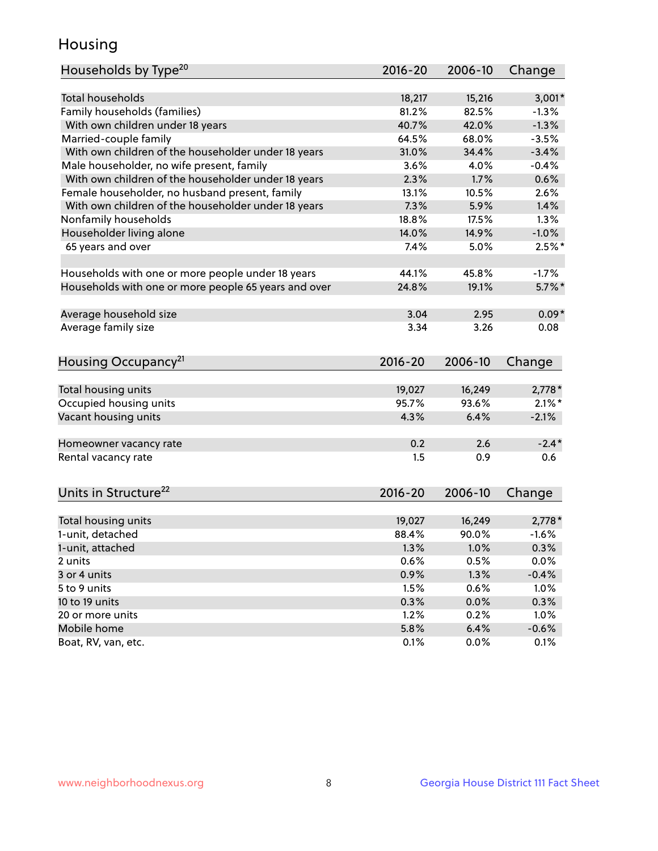## Housing

| Households by Type <sup>20</sup>                     | 2016-20         | 2006-10         | Change                |
|------------------------------------------------------|-----------------|-----------------|-----------------------|
|                                                      |                 |                 |                       |
| <b>Total households</b>                              | 18,217          | 15,216          | $3,001*$              |
| Family households (families)                         | 81.2%           | 82.5%           | $-1.3%$               |
| With own children under 18 years                     | 40.7%           | 42.0%           | $-1.3%$               |
| Married-couple family                                | 64.5%           | 68.0%           | $-3.5%$               |
| With own children of the householder under 18 years  | 31.0%           | 34.4%           | $-3.4%$               |
| Male householder, no wife present, family            | 3.6%            | 4.0%            | $-0.4%$               |
| With own children of the householder under 18 years  | 2.3%            | 1.7%            | 0.6%                  |
| Female householder, no husband present, family       | 13.1%           | 10.5%           | 2.6%                  |
| With own children of the householder under 18 years  | 7.3%            | 5.9%            | 1.4%                  |
| Nonfamily households                                 | 18.8%           | 17.5%           | 1.3%                  |
| Householder living alone                             | 14.0%           | 14.9%           | $-1.0%$               |
| 65 years and over                                    | 7.4%            | 5.0%            | $2.5%$ *              |
|                                                      |                 |                 |                       |
| Households with one or more people under 18 years    | 44.1%           | 45.8%           | $-1.7%$               |
| Households with one or more people 65 years and over | 24.8%           | 19.1%           | $5.7\%$ *             |
| Average household size                               | 3.04            | 2.95            | $0.09*$               |
| Average family size                                  | 3.34            | 3.26            | 0.08                  |
|                                                      |                 |                 |                       |
| Housing Occupancy <sup>21</sup>                      | 2016-20         | 2006-10         | Change                |
|                                                      |                 |                 |                       |
| Total housing units                                  | 19,027          | 16,249<br>93.6% | $2,778*$<br>$2.1\%$ * |
| Occupied housing units                               | 95.7%           |                 |                       |
| Vacant housing units                                 | 4.3%            | 6.4%            | $-2.1%$               |
| Homeowner vacancy rate                               | 0.2             | 2.6             | $-2.4*$               |
| Rental vacancy rate                                  | 1.5             | 0.9             | 0.6                   |
|                                                      |                 |                 |                       |
| Units in Structure <sup>22</sup>                     | $2016 - 20$     | 2006-10         | Change                |
|                                                      |                 |                 |                       |
| Total housing units<br>1-unit, detached              | 19,027<br>88.4% | 16,249<br>90.0% | $2,778*$<br>$-1.6%$   |
|                                                      |                 | 1.0%            |                       |
| 1-unit, attached                                     | 1.3%            |                 | 0.3%                  |
| 2 units                                              | 0.6%            | 0.5%<br>1.3%    | 0.0%                  |
| 3 or 4 units                                         |                 |                 | $-0.4%$               |
|                                                      | 0.9%            |                 |                       |
| 5 to 9 units                                         | 1.5%            | 0.6%            | 1.0%                  |
| 10 to 19 units                                       | 0.3%            | 0.0%            | 0.3%                  |
| 20 or more units                                     | 1.2%            | 0.2%            | 1.0%                  |
| Mobile home<br>Boat, RV, van, etc.                   | 5.8%<br>0.1%    | 6.4%<br>0.0%    | $-0.6%$<br>0.1%       |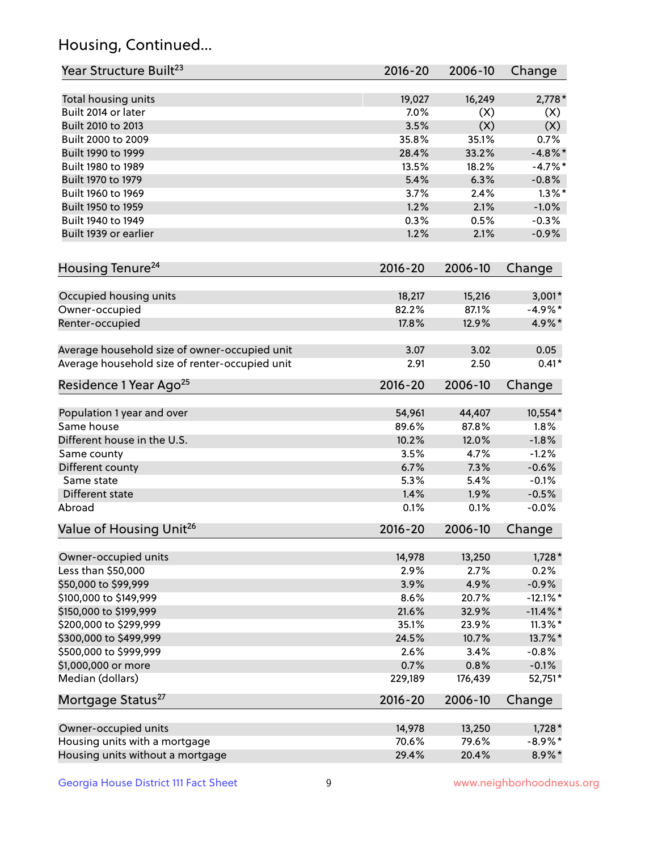## Housing, Continued...

| Year Structure Built <sup>23</sup>             | 2016-20     | 2006-10 | Change      |
|------------------------------------------------|-------------|---------|-------------|
| Total housing units                            | 19,027      | 16,249  | $2,778*$    |
| Built 2014 or later                            | 7.0%        | (X)     | (X)         |
| Built 2010 to 2013                             | 3.5%        | (X)     | (X)         |
| Built 2000 to 2009                             | 35.8%       | 35.1%   | 0.7%        |
| Built 1990 to 1999                             | 28.4%       | 33.2%   | $-4.8\%$ *  |
| Built 1980 to 1989                             | 13.5%       | 18.2%   | $-4.7%$     |
| Built 1970 to 1979                             | 5.4%        | 6.3%    | $-0.8%$     |
| Built 1960 to 1969                             | 3.7%        | 2.4%    | $1.3\%$ *   |
| Built 1950 to 1959                             | 1.2%        | 2.1%    | $-1.0%$     |
| Built 1940 to 1949                             | 0.3%        | 0.5%    | $-0.3%$     |
| Built 1939 or earlier                          | 1.2%        | 2.1%    | $-0.9%$     |
|                                                |             |         |             |
| Housing Tenure <sup>24</sup>                   | $2016 - 20$ | 2006-10 | Change      |
| Occupied housing units                         | 18,217      | 15,216  | $3,001*$    |
| Owner-occupied                                 | 82.2%       | 87.1%   | $-4.9\%$ *  |
| Renter-occupied                                | 17.8%       | 12.9%   | 4.9%*       |
| Average household size of owner-occupied unit  | 3.07        | 3.02    | 0.05        |
| Average household size of renter-occupied unit | 2.91        | 2.50    | $0.41*$     |
| Residence 1 Year Ago <sup>25</sup>             | $2016 - 20$ | 2006-10 | Change      |
| Population 1 year and over                     | 54,961      | 44,407  | 10,554*     |
| Same house                                     | 89.6%       | 87.8%   | 1.8%        |
| Different house in the U.S.                    | 10.2%       | 12.0%   | $-1.8%$     |
|                                                | 3.5%        | 4.7%    | $-1.2%$     |
| Same county                                    | 6.7%        | 7.3%    | $-0.6%$     |
| Different county<br>Same state                 | 5.3%        | 5.4%    | $-0.1%$     |
|                                                |             |         |             |
| Different state                                | 1.4%        | 1.9%    | $-0.5%$     |
| Abroad                                         | 0.1%        | 0.1%    | $-0.0%$     |
| Value of Housing Unit <sup>26</sup>            | $2016 - 20$ | 2006-10 | Change      |
| Owner-occupied units                           | 14,978      | 13,250  | $1,728*$    |
| Less than \$50,000                             | 2.9%        | 2.7%    | 0.2%        |
| \$50,000 to \$99,999                           | 3.9%        | 4.9%    | $-0.9%$     |
| \$100,000 to \$149,999                         | 8.6%        | 20.7%   | $-12.1\%$ * |
| \$150,000 to \$199,999                         | 21.6%       | 32.9%   | $-11.4\%$ * |
| \$200,000 to \$299,999                         | 35.1%       | 23.9%   | $11.3\%$ *  |
| \$300,000 to \$499,999                         | 24.5%       | 10.7%   | 13.7%*      |
| \$500,000 to \$999,999                         | 2.6%        | 3.4%    | $-0.8%$     |
| \$1,000,000 or more                            | 0.7%        | 0.8%    | $-0.1%$     |
| Median (dollars)                               | 229,189     | 176,439 | 52,751*     |
| Mortgage Status <sup>27</sup>                  | $2016 - 20$ | 2006-10 | Change      |
| Owner-occupied units                           | 14,978      | 13,250  | $1,728*$    |
| Housing units with a mortgage                  | 70.6%       | 79.6%   | $-8.9\%$ *  |
| Housing units without a mortgage               | 29.4%       | 20.4%   | 8.9%*       |
|                                                |             |         |             |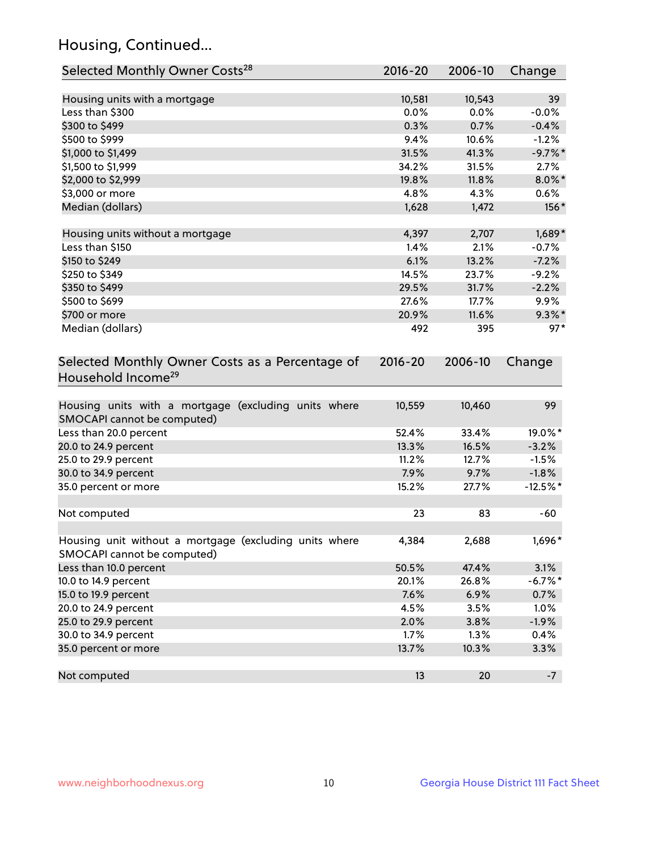## Housing, Continued...

| Selected Monthly Owner Costs <sup>28</sup>                                            | 2016-20 | 2006-10 | Change     |
|---------------------------------------------------------------------------------------|---------|---------|------------|
| Housing units with a mortgage                                                         | 10,581  | 10,543  | 39         |
| Less than \$300                                                                       | 0.0%    | 0.0%    | $-0.0%$    |
| \$300 to \$499                                                                        | 0.3%    | 0.7%    | $-0.4%$    |
| \$500 to \$999                                                                        | 9.4%    | 10.6%   | $-1.2%$    |
| \$1,000 to \$1,499                                                                    | 31.5%   | 41.3%   | $-9.7%$ *  |
| \$1,500 to \$1,999                                                                    | 34.2%   | 31.5%   | 2.7%       |
| \$2,000 to \$2,999                                                                    | 19.8%   | 11.8%   | $8.0\%$ *  |
| \$3,000 or more                                                                       | 4.8%    | 4.3%    | 0.6%       |
| Median (dollars)                                                                      | 1,628   | 1,472   | 156*       |
| Housing units without a mortgage                                                      | 4,397   | 2,707   | $1,689*$   |
| Less than \$150                                                                       | 1.4%    | 2.1%    | $-0.7%$    |
| \$150 to \$249                                                                        | 6.1%    | 13.2%   | $-7.2%$    |
| \$250 to \$349                                                                        | 14.5%   | 23.7%   | $-9.2%$    |
| \$350 to \$499                                                                        | 29.5%   | 31.7%   | $-2.2%$    |
| \$500 to \$699                                                                        | 27.6%   | 17.7%   | 9.9%       |
| \$700 or more                                                                         | 20.9%   | 11.6%   | $9.3\%$ *  |
| Median (dollars)                                                                      | 492     | 395     | $97*$      |
| Household Income <sup>29</sup>                                                        |         |         |            |
| Housing units with a mortgage (excluding units where<br>SMOCAPI cannot be computed)   | 10,559  | 10,460  | 99         |
| Less than 20.0 percent                                                                | 52.4%   | 33.4%   | 19.0%*     |
| 20.0 to 24.9 percent                                                                  | 13.3%   | 16.5%   | $-3.2%$    |
| 25.0 to 29.9 percent                                                                  | 11.2%   | 12.7%   | $-1.5%$    |
| 30.0 to 34.9 percent                                                                  | 7.9%    | 9.7%    | $-1.8%$    |
| 35.0 percent or more                                                                  | 15.2%   | 27.7%   | $-12.5%$ * |
| Not computed                                                                          | 23      | 83      | $-60$      |
| Housing unit without a mortgage (excluding units where<br>SMOCAPI cannot be computed) | 4,384   | 2,688   | 1,696*     |
| Less than 10.0 percent                                                                | 50.5%   | 47.4%   | 3.1%       |
| 10.0 to 14.9 percent                                                                  | 20.1%   | 26.8%   | $-6.7%$ *  |
| 15.0 to 19.9 percent                                                                  | 7.6%    | 6.9%    | 0.7%       |
| 20.0 to 24.9 percent                                                                  | 4.5%    | 3.5%    | 1.0%       |
| 25.0 to 29.9 percent                                                                  | 2.0%    | 3.8%    | $-1.9%$    |
| 30.0 to 34.9 percent                                                                  | 1.7%    | 1.3%    | 0.4%       |
| 35.0 percent or more                                                                  | 13.7%   | 10.3%   | 3.3%       |
| Not computed                                                                          | 13      | 20      | $-7$       |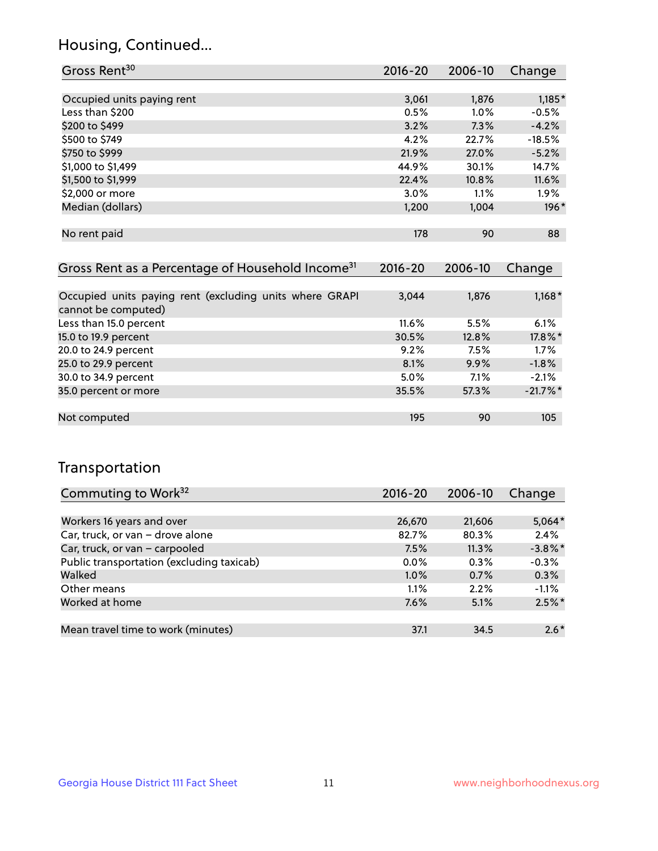## Housing, Continued...

| Gross Rent <sup>30</sup>   | 2016-20 | 2006-10 | Change   |
|----------------------------|---------|---------|----------|
|                            |         |         |          |
| Occupied units paying rent | 3,061   | 1,876   | $1,185*$ |
| Less than \$200            | 0.5%    | $1.0\%$ | $-0.5%$  |
| \$200 to \$499             | 3.2%    | 7.3%    | $-4.2%$  |
| \$500 to \$749             | 4.2%    | 22.7%   | $-18.5%$ |
| \$750 to \$999             | 21.9%   | 27.0%   | $-5.2%$  |
| \$1,000 to \$1,499         | 44.9%   | 30.1%   | 14.7%    |
| \$1,500 to \$1,999         | 22.4%   | 10.8%   | 11.6%    |
| \$2,000 or more            | $3.0\%$ | 1.1%    | 1.9%     |
| Median (dollars)           | 1,200   | 1,004   | 196*     |
|                            |         |         |          |
| No rent paid               | 178     | 90      | 88       |

| Gross Rent as a Percentage of Household Income <sup>31</sup>                   | $2016 - 20$ | 2006-10 | Change     |
|--------------------------------------------------------------------------------|-------------|---------|------------|
|                                                                                |             |         |            |
| Occupied units paying rent (excluding units where GRAPI<br>cannot be computed) | 3,044       | 1,876   | $1,168*$   |
| Less than 15.0 percent                                                         | $11.6\%$    | 5.5%    | 6.1%       |
| 15.0 to 19.9 percent                                                           | 30.5%       | 12.8%   | 17.8%*     |
| 20.0 to 24.9 percent                                                           | 9.2%        | 7.5%    | 1.7%       |
| 25.0 to 29.9 percent                                                           | 8.1%        | 9.9%    | $-1.8%$    |
| 30.0 to 34.9 percent                                                           | 5.0%        | 7.1%    | $-2.1%$    |
| 35.0 percent or more                                                           | 35.5%       | 57.3%   | $-21.7%$ * |
| Not computed                                                                   | 195         | 90      | 105        |

## Transportation

| Commuting to Work <sup>32</sup>           | 2016-20 | 2006-10 | Change     |
|-------------------------------------------|---------|---------|------------|
|                                           |         |         |            |
| Workers 16 years and over                 | 26,670  | 21,606  | $5,064*$   |
| Car, truck, or van - drove alone          | 82.7%   | 80.3%   | 2.4%       |
| Car, truck, or van - carpooled            | 7.5%    | 11.3%   | $-3.8\%$ * |
| Public transportation (excluding taxicab) | $0.0\%$ | 0.3%    | $-0.3%$    |
| Walked                                    | 1.0%    | 0.7%    | 0.3%       |
| Other means                               | 1.1%    | 2.2%    | $-1.1%$    |
| Worked at home                            | 7.6%    | 5.1%    | $2.5\%$ *  |
|                                           |         |         |            |
| Mean travel time to work (minutes)        | 37.1    | 34.5    | $2.6*$     |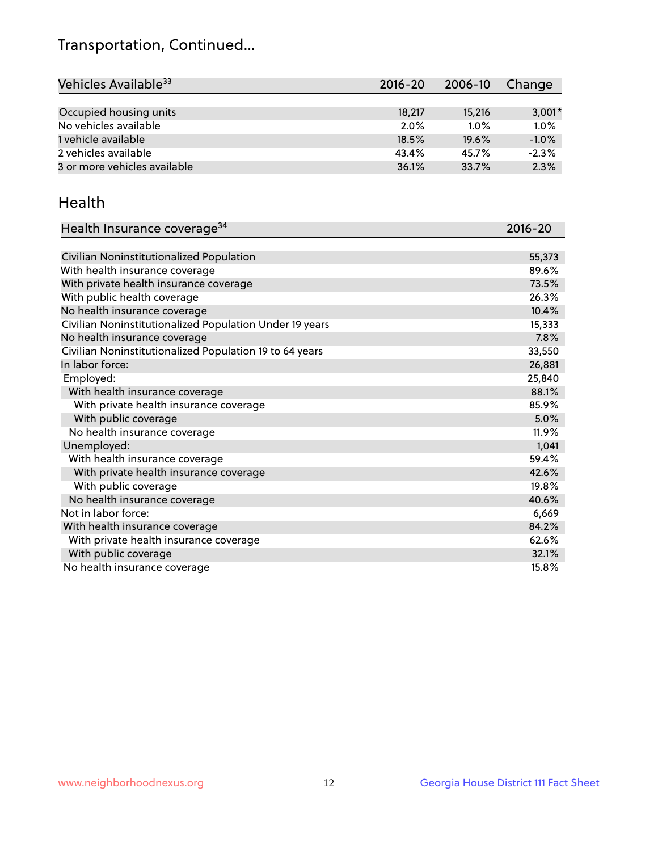## Transportation, Continued...

| Vehicles Available <sup>33</sup> | $2016 - 20$ | 2006-10 | Change   |
|----------------------------------|-------------|---------|----------|
|                                  |             |         |          |
| Occupied housing units           | 18,217      | 15,216  | $3,001*$ |
| No vehicles available            | 2.0%        | $1.0\%$ | 1.0%     |
| 1 vehicle available              | 18.5%       | 19.6%   | $-1.0%$  |
| 2 vehicles available             | 43.4%       | 45.7%   | $-2.3%$  |
| 3 or more vehicles available     | 36.1%       | 33.7%   | 2.3%     |

#### Health

| Health Insurance coverage <sup>34</sup>                 | 2016-20 |
|---------------------------------------------------------|---------|
|                                                         |         |
| Civilian Noninstitutionalized Population                | 55,373  |
| With health insurance coverage                          | 89.6%   |
| With private health insurance coverage                  | 73.5%   |
| With public health coverage                             | 26.3%   |
| No health insurance coverage                            | 10.4%   |
| Civilian Noninstitutionalized Population Under 19 years | 15,333  |
| No health insurance coverage                            | 7.8%    |
| Civilian Noninstitutionalized Population 19 to 64 years | 33,550  |
| In labor force:                                         | 26,881  |
| Employed:                                               | 25,840  |
| With health insurance coverage                          | 88.1%   |
| With private health insurance coverage                  | 85.9%   |
| With public coverage                                    | 5.0%    |
| No health insurance coverage                            | 11.9%   |
| Unemployed:                                             | 1,041   |
| With health insurance coverage                          | 59.4%   |
| With private health insurance coverage                  | 42.6%   |
| With public coverage                                    | 19.8%   |
| No health insurance coverage                            | 40.6%   |
| Not in labor force:                                     | 6,669   |
| With health insurance coverage                          | 84.2%   |
| With private health insurance coverage                  | 62.6%   |
| With public coverage                                    | 32.1%   |
| No health insurance coverage                            | 15.8%   |